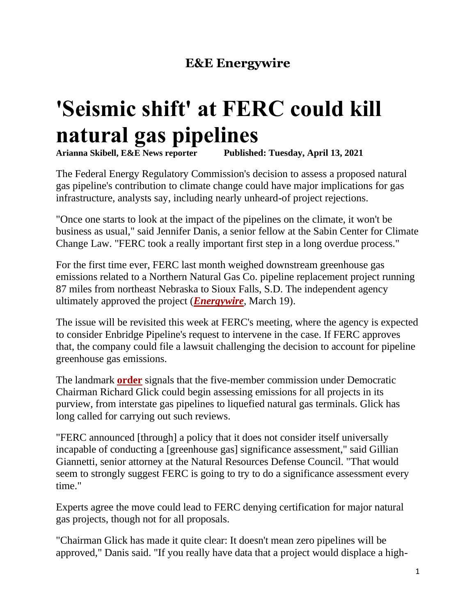## **E&E Energywire**

## **'Seismic shift' at FERC could kill natural gas pipelines**

**[Arianna](https://www.eenews.net/staff/Arianna_Skibell) Skibell, E&E News reporter Published: Tuesday, April 13, 2021**

The Federal Energy Regulatory Commission's decision to assess a proposed natural gas pipeline's contribution to climate change could have major implications for gas infrastructure, analysts say, including nearly unheard-of project rejections.

"Once one starts to look at the impact of the pipelines on the climate, it won't be business as usual," said Jennifer Danis, a senior fellow at the Sabin Center for Climate Change Law. "FERC took a really important first step in a long overdue process."

For the first time ever, FERC last month weighed downstream greenhouse gas emissions related to a Northern Natural Gas Co. pipeline replacement project running 87 miles from northeast Nebraska to Sioux Falls, S.D. The independent agency ultimately approved the project (*[Energywire](https://www.eenews.net/stories/1063727949/)*, March 19).

The issue will be revisited this week at FERC's meeting, where the agency is expected to consider Enbridge Pipeline's request to intervene in the case. If FERC approves that, the company could file a lawsuit challenging the decision to account for pipeline greenhouse gas emissions.

The landmark **[order](https://www.eenews.net/assets/2021/04/12/document_ew_01.pdf)** signals that the five-member commission under Democratic Chairman Richard Glick could begin assessing emissions for all projects in its purview, from interstate gas pipelines to liquefied natural gas terminals. Glick has long called for carrying out such reviews.

"FERC announced [through] a policy that it does not consider itself universally incapable of conducting a [greenhouse gas] significance assessment," said Gillian Giannetti, senior attorney at the Natural Resources Defense Council. "That would seem to strongly suggest FERC is going to try to do a significance assessment every time."

Experts agree the move could lead to FERC denying certification for major natural gas projects, though not for all proposals.

"Chairman Glick has made it quite clear: It doesn't mean zero pipelines will be approved," Danis said. "If you really have data that a project would displace a high-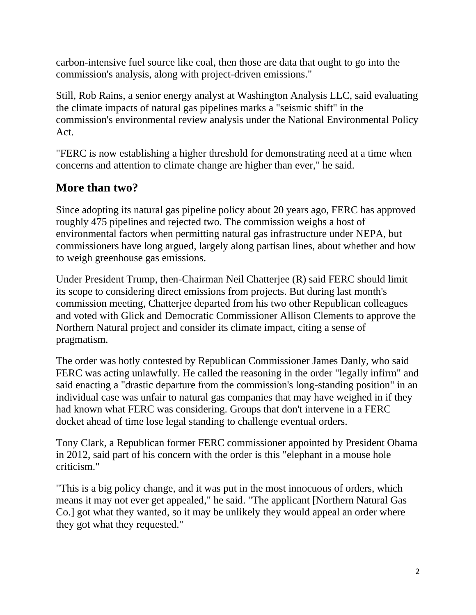carbon-intensive fuel source like coal, then those are data that ought to go into the commission's analysis, along with project-driven emissions."

Still, Rob Rains, a senior energy analyst at Washington Analysis LLC, said evaluating the climate impacts of natural gas pipelines marks a "seismic shift" in the commission's environmental review analysis under the National Environmental Policy Act.

"FERC is now establishing a higher threshold for demonstrating need at a time when concerns and attention to climate change are higher than ever," he said.

## **More than two?**

Since adopting its natural gas pipeline policy about 20 years ago, FERC has approved roughly 475 pipelines and rejected two. The commission weighs a host of environmental factors when permitting natural gas infrastructure under NEPA, but commissioners have long argued, largely along partisan lines, about whether and how to weigh greenhouse gas emissions.

Under President Trump, then-Chairman Neil Chatterjee (R) said FERC should limit its scope to considering direct emissions from projects. But during last month's commission meeting, Chatterjee departed from his two other Republican colleagues and voted with Glick and Democratic Commissioner Allison Clements to approve the Northern Natural project and consider its climate impact, citing a sense of pragmatism.

The order was hotly contested by Republican Commissioner James Danly, who said FERC was acting unlawfully. He called the reasoning in the order "legally infirm" and said enacting a "drastic departure from the commission's long-standing position" in an individual case was unfair to natural gas companies that may have weighed in if they had known what FERC was considering. Groups that don't intervene in a FERC docket ahead of time lose legal standing to challenge eventual orders.

Tony Clark, a Republican former FERC commissioner appointed by President Obama in 2012, said part of his concern with the order is this "elephant in a mouse hole criticism."

"This is a big policy change, and it was put in the most innocuous of orders, which means it may not ever get appealed," he said. "The applicant [Northern Natural Gas Co.] got what they wanted, so it may be unlikely they would appeal an order where they got what they requested."